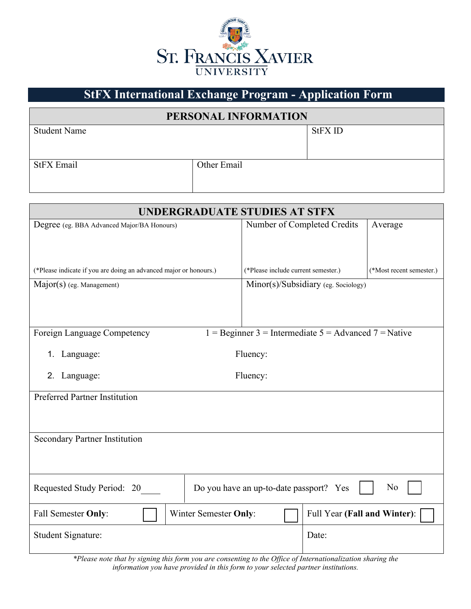

## **StFX International Exchange Program - Application Form**

## **PERSONAL INFORMATION**

| <b>Student Name</b> |             | <b>StFX ID</b> |
|---------------------|-------------|----------------|
| <b>StFX Email</b>   | Other Email |                |

| UNDERGRADUATE STUDIES AT STFX                                                          |                                     |                              |                          |  |  |  |
|----------------------------------------------------------------------------------------|-------------------------------------|------------------------------|--------------------------|--|--|--|
| Degree (eg. BBA Advanced Major/BA Honours)                                             | Number of Completed Credits         |                              | Average                  |  |  |  |
|                                                                                        |                                     |                              |                          |  |  |  |
|                                                                                        |                                     |                              |                          |  |  |  |
| (*Please indicate if you are doing an advanced major or honours.)                      | (*Please include current semester.) |                              | (*Most recent semester.) |  |  |  |
| Major(s) (eg. Management)                                                              | Minor(s)/Subsidiary (eg. Sociology) |                              |                          |  |  |  |
|                                                                                        |                                     |                              |                          |  |  |  |
|                                                                                        |                                     |                              |                          |  |  |  |
| 1 = Beginner 3 = Intermediate $5$ = Advanced 7 = Native<br>Foreign Language Competency |                                     |                              |                          |  |  |  |
| Fluency:<br>Language:<br>1.                                                            |                                     |                              |                          |  |  |  |
|                                                                                        |                                     |                              |                          |  |  |  |
| Fluency:<br>Language:<br>2.                                                            |                                     |                              |                          |  |  |  |
| <b>Preferred Partner Institution</b>                                                   |                                     |                              |                          |  |  |  |
|                                                                                        |                                     |                              |                          |  |  |  |
|                                                                                        |                                     |                              |                          |  |  |  |
| <b>Secondary Partner Institution</b>                                                   |                                     |                              |                          |  |  |  |
|                                                                                        |                                     |                              |                          |  |  |  |
|                                                                                        |                                     |                              |                          |  |  |  |
| No<br>Do you have an up-to-date passport? Yes<br>Requested Study Period: 20            |                                     |                              |                          |  |  |  |
| <b>Winter Semester Only:</b><br>Fall Semester Only:                                    |                                     | Full Year (Fall and Winter): |                          |  |  |  |
| Student Signature:                                                                     |                                     | Date:                        |                          |  |  |  |
|                                                                                        |                                     |                              |                          |  |  |  |

*\*Please note that by signing this form you are consenting to the Office of Internationalization sharing the information you have provided in this form to your selected partner institutions.*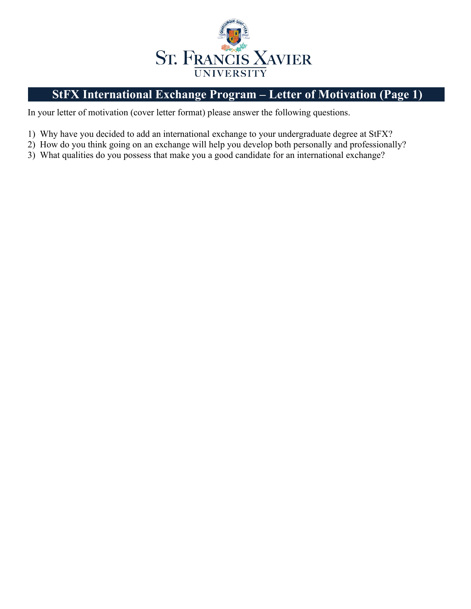

## **StFX International Exchange Program – Letter of Motivation (Page 1)**

In your letter of motivation (cover letter format) please answer the following questions.

- 1) Why have you decided to add an international exchange to your undergraduate degree at StFX?
- 2) How do you think going on an exchange will help you develop both personally and professionally?
- 3) What qualities do you possess that make you a good candidate for an international exchange?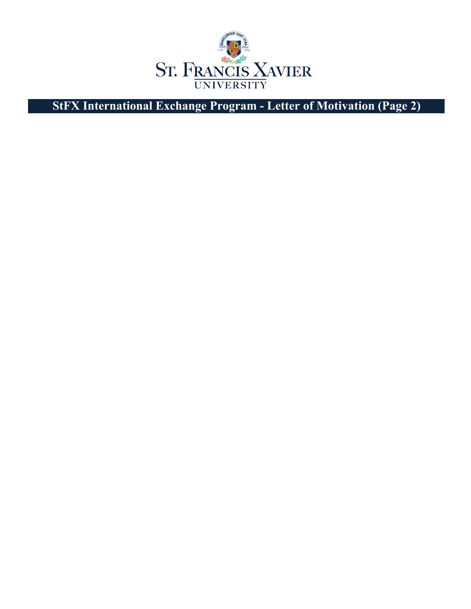

**StFX International Exchange Program - Letter of Motivation (Page 2)**